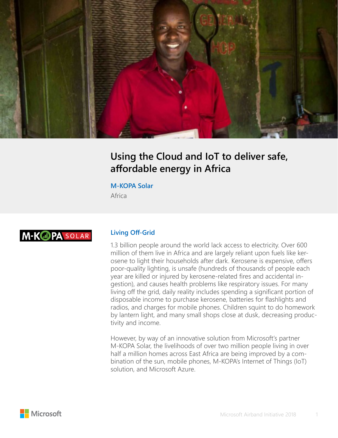

## **Using the Cloud and IoT to deliver safe, affordable energy in Africa**

#### **M-KOPA Solar**

Africa

# **M-KOPA SOLAR**

#### **Living Off-Grid**

1.3 billion people around the world lack access to electricity. Over 600 million of them live in Africa and are largely reliant upon fuels like kerosene to light their households after dark. Kerosene is expensive, offers poor-quality lighting, is unsafe (hundreds of thousands of people each year are killed or injured by kerosene-related fires and accidental ingestion), and causes health problems like respiratory issues. For many living off the grid, daily reality includes spending a significant portion of disposable income to purchase kerosene, batteries for flashlights and radios, and charges for mobile phones. Children squint to do homework by lantern light, and many small shops close at dusk, decreasing productivity and income.

However, by way of an innovative solution from Microsoft's partner M-KOPA Solar, the livelihoods of over two million people living in over half a million homes across East Africa are being improved by a combination of the sun, mobile phones, M-KOPA's Internet of Things (IoT) solution, and Microsoft Azure.

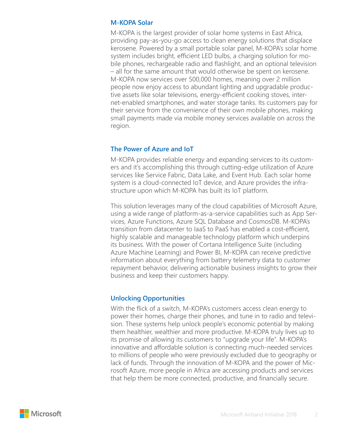#### **M-KOPA Solar**

M-KOPA is the largest provider of solar home systems in East Africa, providing pay-as-you-go access to clean energy solutions that displace kerosene. Powered by a small portable solar panel, M-KOPA's solar home system includes bright, efficient LED bulbs, a charging solution for mobile phones, rechargeable radio and flashlight, and an optional television – all for the same amount that would otherwise be spent on kerosene. M-KOPA now services over 500,000 homes, meaning over 2 million people now enjoy access to abundant lighting and upgradable productive assets like solar televisions, energy-efficient cooking stoves, internet-enabled smartphones, and water storage tanks. Its customers pay for their service from the convenience of their own mobile phones, making small payments made via mobile money services available on across the region.

## **The Power of Azure and IoT**

M-KOPA provides reliable energy and expanding services to its customers and it's accomplishing this through cutting-edge utilization of Azure services like Service Fabric, Data Lake, and Event Hub. Each solar home system is a cloud-connected IoT device, and Azure provides the infrastructure upon which M-KOPA has built its IoT platform.

This solution leverages many of the cloud capabilities of Microsoft Azure, using a wide range of platform-as-a-service capabilities such as App Services, Azure Functions, Azure SQL Database and CosmosDB. M-KOPA's transition from datacenter to IaaS to PaaS has enabled a cost-efficient, highly scalable and manageable technology platform which underpins its business. With the power of Cortana Intelligence Suite (including Azure Machine Learning) and Power BI, M-KOPA can receive predictive information about everything from battery telemetry data to customer repayment behavior, delivering actionable business insights to grow their business and keep their customers happy.

## **Unlocking Opportunities**

With the flick of a switch, M-KOPA's customers access clean energy to power their homes, charge their phones, and tune in to radio and television. These systems help unlock people's economic potential by making them healthier, wealthier and more productive. M-KOPA truly lives up to its promise of allowing its customers to "upgrade your life". M-KOPA's innovative and affordable solution is connecting much-needed services to millions of people who were previously excluded due to geography or lack of funds. Through the innovation of M-KOPA and the power of Microsoft Azure, more people in Africa are accessing products and services that help them be more connected, productive, and financially secure.